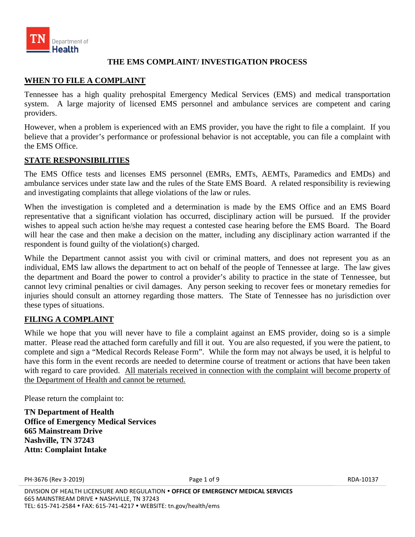

# **THE EMS COMPLAINT/ INVESTIGATION PROCESS**

# **WHEN TO FILE A COMPLAINT**

Tennessee has a high quality prehospital Emergency Medical Services (EMS) and medical transportation system. A large majority of licensed EMS personnel and ambulance services are competent and caring providers.

However, when a problem is experienced with an EMS provider, you have the right to file a complaint. If you believe that a provider's performance or professional behavior is not acceptable, you can file a complaint with the EMS Office.

#### **STATE RESPONSIBILITIES**

The EMS Office tests and licenses EMS personnel (EMRs, EMTs, AEMTs, Paramedics and EMDs) and ambulance services under state law and the rules of the State EMS Board. A related responsibility is reviewing and investigating complaints that allege violations of the law or rules.

When the investigation is completed and a determination is made by the EMS Office and an EMS Board representative that a significant violation has occurred, disciplinary action will be pursued. If the provider wishes to appeal such action he/she may request a contested case hearing before the EMS Board. The Board will hear the case and then make a decision on the matter, including any disciplinary action warranted if the respondent is found guilty of the violation(s) charged.

While the Department cannot assist you with civil or criminal matters, and does not represent you as an individual, EMS law allows the department to act on behalf of the people of Tennessee at large. The law gives the department and Board the power to control a provider's ability to practice in the state of Tennessee, but cannot levy criminal penalties or civil damages. Any person seeking to recover fees or monetary remedies for injuries should consult an attorney regarding those matters. The State of Tennessee has no jurisdiction over these types of situations.

# **FILING A COMPLAINT**

While we hope that you will never have to file a complaint against an EMS provider, doing so is a simple matter. Please read the attached form carefully and fill it out. You are also requested, if you were the patient, to complete and sign a "Medical Records Release Form". While the form may not always be used, it is helpful to have this form in the event records are needed to determine course of treatment or actions that have been taken with regard to care provided. All materials received in connection with the complaint will become property of the Department of Health and cannot be returned.

Please return the complaint to:

**TN Department of Health Office of Emergency Medical Services 665 Mainstream Drive Nashville, TN 37243 Attn: Complaint Intake**

PH-3676 (Rev 3-2019) Page 1 of 9 RDA-10137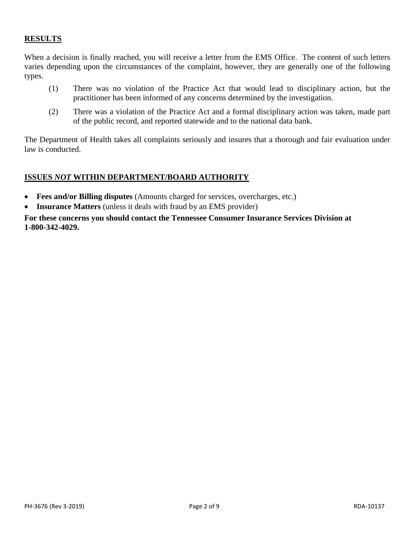# **RESULTS**

When a decision is finally reached, you will receive a letter from the EMS Office. The content of such letters varies depending upon the circumstances of the complaint, however, they are generally one of the following types.

- (1) There was no violation of the Practice Act that would lead to disciplinary action, but the practitioner has been informed of any concerns determined by the investigation.
- (2) There was a violation of the Practice Act and a formal disciplinary action was taken, made part of the public record, and reported statewide and to the national data bank.

The Department of Health takes all complaints seriously and insures that a thorough and fair evaluation under law is conducted.

## **ISSUES** *NOT* **WITHIN DEPARTMENT/BOARD AUTHORITY**

- **Fees and/or Billing disputes** (Amounts charged for services, overcharges, etc.)
- **Insurance Matters** (unless it deals with fraud by an EMS provider)

**For these concerns you should contact the Tennessee Consumer Insurance Services Division at 1-800-342-4029.**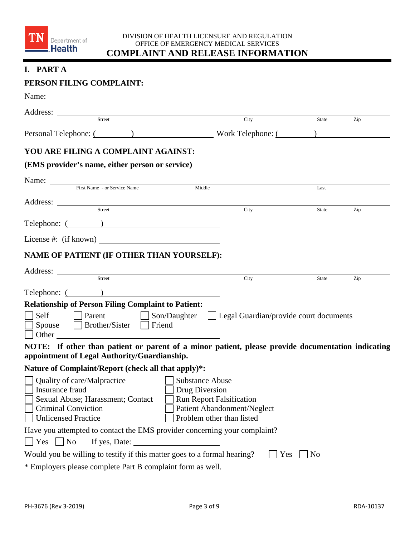

#### DIVISION OF HEALTH LICENSURE AND REGULATION OFFICE OF EMERGENCY MEDICAL SERVICES **COMPLAINT AND RELEASE INFORMATION**

# **I. PART A**

# **PERSON FILING COMPLAINT:**

| Name:                                                                                                                                                                                                                                |                                                                 |                       |     |
|--------------------------------------------------------------------------------------------------------------------------------------------------------------------------------------------------------------------------------------|-----------------------------------------------------------------|-----------------------|-----|
| Address: <u>Street</u>                                                                                                                                                                                                               |                                                                 |                       |     |
|                                                                                                                                                                                                                                      | City                                                            | State                 | Zip |
| Personal Telephone: (Change of Contract Contract Contract Contract Contract Contract Contract Contract Contract Contract Contract Contract Contract Contract Contract Contract Contract Contract Contract Contract Contract Co       |                                                                 |                       |     |
| YOU ARE FILING A COMPLAINT AGAINST:                                                                                                                                                                                                  |                                                                 |                       |     |
| (EMS provider's name, either person or service)                                                                                                                                                                                      |                                                                 |                       |     |
|                                                                                                                                                                                                                                      |                                                                 |                       |     |
| Name: First Name - or Service Name                                                                                                                                                                                                   |                                                                 | Last                  |     |
| Address: <u>Street Street Street Street Street Street Street Street Street Street Street Street Street Street Street Street Street Street Street Street Street Street Street Street Street Street Street Street Street Street St</u> |                                                                 |                       |     |
|                                                                                                                                                                                                                                      | City                                                            | State                 | Zip |
| Telephone: ( )                                                                                                                                                                                                                       |                                                                 |                       |     |
| License #: (if known)                                                                                                                                                                                                                |                                                                 |                       |     |
| NAME OF PATIENT (IF OTHER THAN YOURSELF):                                                                                                                                                                                            |                                                                 |                       |     |
|                                                                                                                                                                                                                                      |                                                                 |                       |     |
| Address: <u>City</u>                                                                                                                                                                                                                 |                                                                 | State                 | Zip |
| Telephone: ( )                                                                                                                                                                                                                       |                                                                 |                       |     |
| <b>Relationship of Person Filing Complaint to Patient:</b>                                                                                                                                                                           |                                                                 |                       |     |
|                                                                                                                                                                                                                                      | Self Parent Son/Daughter Legal Guardian/provide court documents |                       |     |
| Spouse Brother/Sister Friend                                                                                                                                                                                                         |                                                                 |                       |     |
|                                                                                                                                                                                                                                      |                                                                 |                       |     |
| NOTE: If other than patient or parent of a minor patient, please provide documentation indicating                                                                                                                                    |                                                                 |                       |     |
| appointment of Legal Authority/Guardianship.                                                                                                                                                                                         |                                                                 |                       |     |
| Nature of Complaint/Report (check all that apply)*:                                                                                                                                                                                  |                                                                 |                       |     |
| Quality of care/Malpractice<br>Insurance fraud                                                                                                                                                                                       | $\perp$<br><b>Substance Abuse</b><br>Drug Diversion             |                       |     |
| Sexual Abuse; Harassment; Contact                                                                                                                                                                                                    | <b>Run Report Falsification</b>                                 |                       |     |
| <b>Criminal Conviction</b>                                                                                                                                                                                                           | Patient Abandonment/Neglect                                     |                       |     |
| <b>Unlicensed Practice</b>                                                                                                                                                                                                           | Problem other than listed                                       |                       |     |
| Have you attempted to contact the EMS provider concerning your complaint?                                                                                                                                                            |                                                                 |                       |     |
| Yes<br>$\overline{\phantom{a}}$ No<br>If yes, Date:                                                                                                                                                                                  |                                                                 |                       |     |
| Would you be willing to testify if this matter goes to a formal hearing?                                                                                                                                                             |                                                                 | Yes<br>N <sub>0</sub> |     |
| * Employers please complete Part B complaint form as well.                                                                                                                                                                           |                                                                 |                       |     |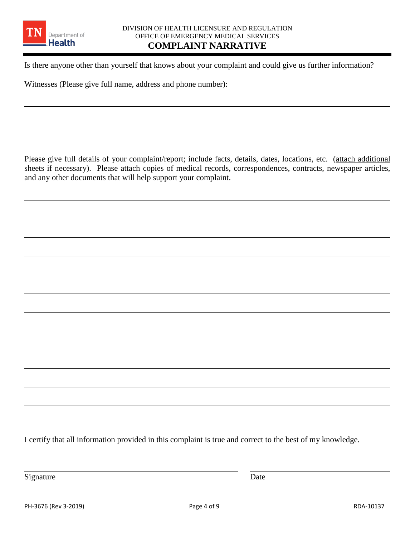

 $\overline{a}$ 

 $\overline{a}$ 

Is there anyone other than yourself that knows about your complaint and could give us further information?

Witnesses (Please give full name, address and phone number):

Please give full details of your complaint/report; include facts, details, dates, locations, etc. (attach additional sheets if necessary). Please attach copies of medical records, correspondences, contracts, newspaper articles, and any other documents that will help support your complaint.

 $\overline{a}$ 

 $\overline{a}$ 

 $\overline{a}$ 

 $\overline{a}$ 

 $\overline{a}$ 

 $\overline{a}$ 

 $\overline{a}$ 

 $\overline{a}$ 

 $\overline{a}$ 

 $\overline{a}$ 

 $\overline{a}$ 

I certify that all information provided in this complaint is true and correct to the best of my knowledge.

Signature Date

 $\overline{a}$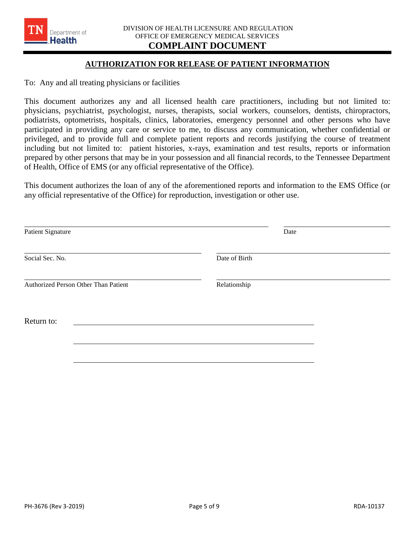#### **AUTHORIZATION FOR RELEASE OF PATIENT INFORMATION**

To: Any and all treating physicians or facilities

Department of **Health** 

This document authorizes any and all licensed health care practitioners, including but not limited to: physicians, psychiatrist, psychologist, nurses, therapists, social workers, counselors, dentists, chiropractors, podiatrists, optometrists, hospitals, clinics, laboratories, emergency personnel and other persons who have participated in providing any care or service to me, to discuss any communication, whether confidential or privileged, and to provide full and complete patient reports and records justifying the course of treatment including but not limited to: patient histories, x-rays, examination and test results, reports or information prepared by other persons that may be in your possession and all financial records, to the Tennessee Department of Health, Office of EMS (or any official representative of the Office).

This document authorizes the loan of any of the aforementioned reports and information to the EMS Office (or any official representative of the Office) for reproduction, investigation or other use.

| Patient Signature                    | Date          |
|--------------------------------------|---------------|
| Social Sec. No.                      | Date of Birth |
| Authorized Person Other Than Patient | Relationship  |
| Return to:                           |               |
|                                      |               |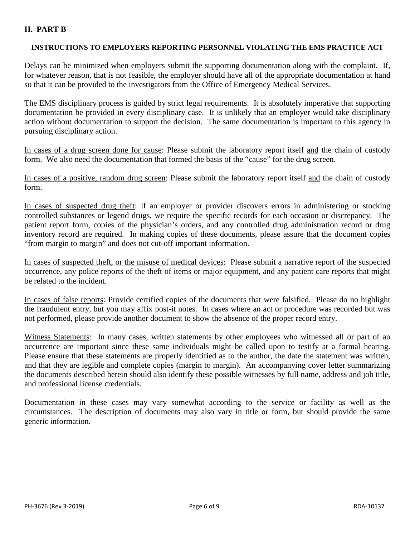# **II. PART B**

## **INSTRUCTIONS TO EMPLOYERS REPORTING PERSONNEL VIOLATING THE EMS PRACTICE ACT**

Delays can be minimized when employers submit the supporting documentation along with the complaint. If, for whatever reason, that is not feasible, the employer should have all of the appropriate documentation at hand so that it can be provided to the investigators from the Office of Emergency Medical Services.

The EMS disciplinary process is guided by strict legal requirements. It is absolutely imperative that supporting documentation be provided in every disciplinary case. It is unlikely that an employer would take disciplinary action without documentation to support the decision. The same documentation is important to this agency in pursuing disciplinary action.

In cases of a drug screen done for cause: Please submit the laboratory report itself and the chain of custody form. We also need the documentation that formed the basis of the "cause" for the drug screen.

In cases of a positive, random drug screen: Please submit the laboratory report itself and the chain of custody form.

In cases of suspected drug theft: If an employer or provider discovers errors in administering or stocking controlled substances or legend drugs, we require the specific records for each occasion or discrepancy. The patient report form, copies of the physician's orders, and any controlled drug administration record or drug inventory record are required. In making copies of these documents, please assure that the document copies "from margin to margin" and does not cut-off important information.

In cases of suspected theft, or the misuse of medical devices: Please submit a narrative report of the suspected occurrence, any police reports of the theft of items or major equipment, and any patient care reports that might be related to the incident.

In cases of false reports: Provide certified copies of the documents that were falsified. Please do no highlight the fraudulent entry, but you may affix post-it notes. In cases where an act or procedure was recorded but was not performed, please provide another document to show the absence of the proper record entry.

Witness Statements: In many cases, written statements by other employees who witnessed all or part of an occurrence are important since these same individuals might be called upon to testify at a formal hearing. Please ensure that these statements are properly identified as to the author, the date the statement was written, and that they are legible and complete copies (margin to margin). An accompanying cover letter summarizing the documents described herein should also identify these possible witnesses by full name, address and job title, and professional license credentials.

Documentation in these cases may vary somewhat according to the service or facility as well as the circumstances. The description of documents may also vary in title or form, but should provide the same generic information.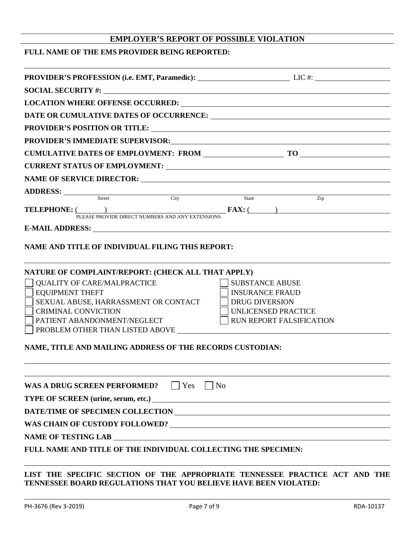# **EMPLOYER'S REPORT OF POSSIBLE VIOLATION**

#### **FULL NAME OF THE EMS PROVIDER BEING REPORTED:**

| PROVIDER'S PROFESSION (i.e. EMT, Paramedic): LIC #: LIC #:                                                                                                                                                                     |                                 |  |  |
|--------------------------------------------------------------------------------------------------------------------------------------------------------------------------------------------------------------------------------|---------------------------------|--|--|
|                                                                                                                                                                                                                                |                                 |  |  |
| LOCATION WHERE OFFENSE OCCURRED: Under the contract of the contract of the contract of the contract of the contract of the contract of the contract of the contract of the contract of the contract of the contract of the con |                                 |  |  |
|                                                                                                                                                                                                                                |                                 |  |  |
| PROVIDER'S POSITION OR TITLE: University of the set of the set of the set of the set of the set of the set of the set of the set of the set of the set of the set of the set of the set of the set of the set of the set of th |                                 |  |  |
|                                                                                                                                                                                                                                |                                 |  |  |
|                                                                                                                                                                                                                                |                                 |  |  |
|                                                                                                                                                                                                                                |                                 |  |  |
|                                                                                                                                                                                                                                |                                 |  |  |
|                                                                                                                                                                                                                                |                                 |  |  |
| ADDRESS: Street City State                                                                                                                                                                                                     | Zip                             |  |  |
| <b>TELEPHONE:</b> ( )<br>PLEASE PROVIDE DIRECT NUMBERS AND ANY EXTENSIONS FAX: ( )                                                                                                                                             |                                 |  |  |
| E-MAIL ADDRESS: University of the Second Second Second Second Second Second Second Second Second Second Second Second Second Second Second Second Second Second Second Second Second Second Second Second Second Second Second |                                 |  |  |
|                                                                                                                                                                                                                                |                                 |  |  |
| NAME AND TITLE OF INDIVIDUAL FILING THIS REPORT:                                                                                                                                                                               |                                 |  |  |
|                                                                                                                                                                                                                                |                                 |  |  |
| NATURE OF COMPLAINT/REPORT: (CHECK ALL THAT APPLY)                                                                                                                                                                             |                                 |  |  |
| <b>QUALITY OF CARE/MALPRACTICE</b>                                                                                                                                                                                             | <b>SUBSTANCE ABUSE</b>          |  |  |
| <b>EQUIPMENT THEFT</b>                                                                                                                                                                                                         | <b>INSURANCE FRAUD</b>          |  |  |
| SEXUAL ABUSE, HARRASSMENT OR CONTACT                                                                                                                                                                                           | <b>DRUG DIVERSION</b>           |  |  |
| <b>CRIMINAL CONVICTION</b>                                                                                                                                                                                                     | UNLICENSED PRACTICE             |  |  |
| PATIENT ABANDONMENT/NEGLECT                                                                                                                                                                                                    | <b>RUN REPORT FALSIFICATION</b> |  |  |
|                                                                                                                                                                                                                                |                                 |  |  |
| NAME, TITLE AND MAILING ADDRESS OF THE RECORDS CUSTODIAN:                                                                                                                                                                      |                                 |  |  |
|                                                                                                                                                                                                                                |                                 |  |  |
|                                                                                                                                                                                                                                |                                 |  |  |
| WAS A DRUG SCREEN PERFORMED?<br>$ $   Yes                                                                                                                                                                                      | $\vert$ No                      |  |  |
|                                                                                                                                                                                                                                |                                 |  |  |
|                                                                                                                                                                                                                                |                                 |  |  |
|                                                                                                                                                                                                                                |                                 |  |  |
| <b>NAME OF TESTING LAB</b><br><u> 1989 - Jan Samuel Barbara, martin da shekara tsara 1989 - An tsara 1989 - An tsara 1989 - An tsara 1989 - An</u>                                                                             |                                 |  |  |
| FULL NAME AND TITLE OF THE INDIVIDUAL COLLECTING THE SPECIMEN:                                                                                                                                                                 |                                 |  |  |
|                                                                                                                                                                                                                                |                                 |  |  |

## **LIST THE SPECIFIC SECTION OF THE APPROPRIATE TENNESSEE PRACTICE ACT AND THE TENNESSEE BOARD REGULATIONS THAT YOU BELIEVE HAVE BEEN VIOLATED:**

l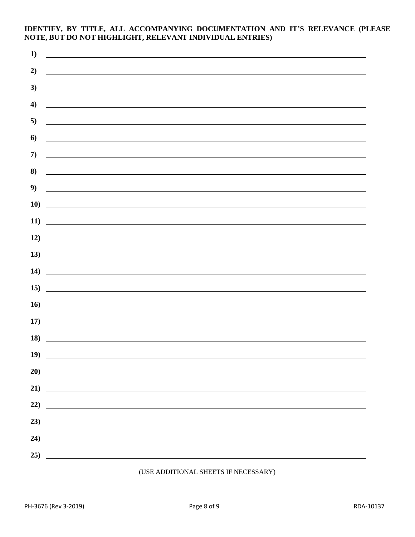#### **IDENTIFY, BY TITLE, ALL ACCOMPANYING DOCUMENTATION AND IT'S RELEVANCE (PLEASE NOTE, BUT DO NOT HIGHLIGHT, RELEVANT INDIVIDUAL ENTRIES)**

| 1)  |                                                                                                                       |
|-----|-----------------------------------------------------------------------------------------------------------------------|
| 2)  |                                                                                                                       |
| 3)  |                                                                                                                       |
| 4)  | <u> 1989 - Johann John Stein, fransk politik (d. 1989)</u>                                                            |
| 5)  | <u> 1980 - John Stone, Amerikaansk politiker (</u>                                                                    |
| 6)  | <u> 1980 - Andrea Andrew Maria (h. 1980).</u>                                                                         |
| 7)  | <u> Alexandria de la contrada de la contrada de la contrada de la contrada de la contrada de la contrada de la c</u>  |
| 8)  | <u> 1989 - Jan Barbara, martxa al III-lea (h. 1989).</u><br>Notae                                                     |
| 9)  | and the control of the control of the control of the control of the control of the control of the control of the      |
| 10) |                                                                                                                       |
| 11) | <u> Alexandria de la contrada de la contrada de la contrada de la contrada de la contrada de la contrada de la c</u>  |
| 12) | <u> Alexandria de la contrada de la contrada de la contrada de la contrada de la contrada de la contrada de la c</u>  |
| 13) | <u> 1980 - Jan Samuel Barbara, martin di sebagai personal di sebagai personal di sebagai personal di sebagai per</u>  |
| 14) | <u> 1980 - Andrea Andrew Maria (h. 1980).</u>                                                                         |
| 15) | <u> 1989 - Johann Barbara, martin amerikan basal dan berasal dan berasal dalam basal dan berasal dan berasal dan</u>  |
| 16) | <u> 1989 - Johann Barbara, martin amerikan basal dan berasal dan berasal dan berasal dan berasal dan berasal dan</u>  |
| 17) | <u> 1990 - Johann Barbara, martin a</u>                                                                               |
| 18) | <u> 1980 - Johann Stein, mars an deus Amerikaansk kommunister (</u>                                                   |
| 19) |                                                                                                                       |
| 20) | <u> 1989 - Johann Stein, mars and de Branch and de Branch and de Branch and de Branch and de Branch and de Branch</u> |
|     |                                                                                                                       |
| 22) | <u> 1989 - Jan Barnett, fransk politiker (d. 1989)</u>                                                                |
| 23) | <u> 1989 - Andrea Stadt British, fransk politik (d. 1989)</u>                                                         |
| 24) | <u> 1989 - Andrea Station, amerikansk politik (d. 1989)</u>                                                           |
|     |                                                                                                                       |

#### (USE ADDITIONAL SHEETS IF NECESSARY)